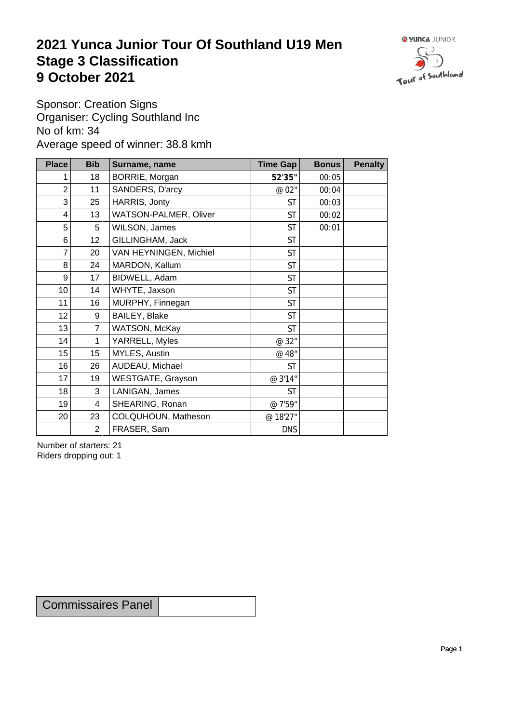## **2021 Yunca Junior Tour Of Southland U19 Men** Stage 3 Classification<br>9 October 2021 **9 October 2021**



Sponsor: Creation Signs Organiser: Cycling Southland Inc No of km: 34 Average speed of winner: 38.8 kmh

| <b>Place</b>     | <b>Bib</b>     | Surname, name          | Time Gap   | <b>Bonus</b> | <b>Penalty</b> |
|------------------|----------------|------------------------|------------|--------------|----------------|
|                  | 18             | BORRIE, Morgan         | 52'35"     | 00:05        |                |
| $\overline{2}$   | 11             | SANDERS, D'arcy        | @ 02"      | 00:04        |                |
| 3                | 25             | HARRIS, Jonty          | <b>ST</b>  | 00:03        |                |
| 4                | 13             | WATSON-PALMER, Oliver  | <b>ST</b>  | 00:02        |                |
| 5                | 5              | WILSON, James          | <b>ST</b>  | 00:01        |                |
| 6                | 12             | GILLINGHAM, Jack       | <b>ST</b>  |              |                |
| 7                | 20             | VAN HEYNINGEN, Michiel | <b>ST</b>  |              |                |
| 8                | 24             | MARDON, Kallum         | <b>ST</b>  |              |                |
| 9                | 17             | BIDWELL, Adam          | <b>ST</b>  |              |                |
| 10               | 14             | WHYTE, Jaxson          | <b>ST</b>  |              |                |
| 11               | 16             | MURPHY, Finnegan       | <b>ST</b>  |              |                |
| 12 <sub>2</sub>  | 9              | BAILEY, Blake          | <b>ST</b>  |              |                |
| 13               | 7 <sup>1</sup> | WATSON, McKay          | <b>ST</b>  |              |                |
| 14               | $\mathbf 1$    | YARRELL, Myles         | @ 32"      |              |                |
| 15 <sub>15</sub> | 15             | MYLES, Austin          | @ 48"      |              |                |
| 16               | 26             | AUDEAU, Michael        | <b>ST</b>  |              |                |
| 17               | 19             | WESTGATE, Grayson      | @ 3'14"    |              |                |
| 18               | 3              | LANIGAN, James         | <b>ST</b>  |              |                |
| 19               | $\overline{4}$ | SHEARING, Ronan        | @ 7'59"    |              |                |
| 20               | 23             | COLQUHOUN, Matheson    | @ 18'27"   |              |                |
|                  | $\overline{2}$ | FRASER, Sam            | <b>DNS</b> |              |                |

Number of starters: 21 Riders dropping out: 1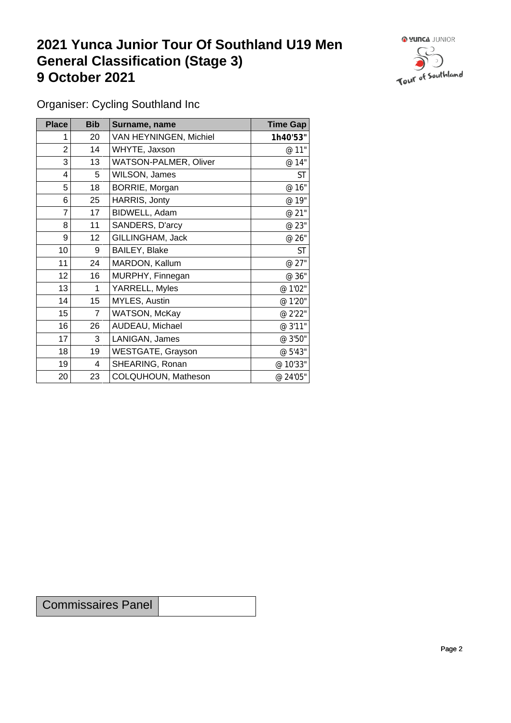## **2021 Yunca Junior Tour Of Southland U19 Men General Classification (Stage 3)**<br> **9 October 2021 9 October 2021**



Organiser: Cycling Southland Inc

| <b>Place</b> | <b>Bib</b>     | Surname, name          | <b>Time Gap</b> |
|--------------|----------------|------------------------|-----------------|
|              | 20             | VAN HEYNINGEN, Michiel | 1h40'53"        |
| 2            | 14             | WHYTE, Jaxson          | @ 11"           |
| 3            | 13             | WATSON-PALMER, Oliver  | @ 14"           |
| 4            | 5              | WILSON, James          | <b>ST</b>       |
| 5            | 18             | BORRIE, Morgan         | @ 16"           |
| 6            | 25             | HARRIS, Jonty          | @ 19"           |
| 7            | 17             | BIDWELL, Adam          | @ 21"           |
| 8            | 11             | SANDERS, D'arcy        | @ 23"           |
| 9            | 12             | GILLINGHAM, Jack       | @ 26"           |
| 10           | 9              | BAILEY, Blake          | <b>ST</b>       |
| 11           | 24             | MARDON, Kallum         | @ 27"           |
| 12           | 16             | MURPHY, Finnegan       | @ 36"           |
| 13           | 1              | YARRELL, Myles         | @ 1'02"         |
| 14           | 15             | MYLES, Austin          | @ 1'20"         |
| 15           | $\overline{7}$ | WATSON, McKay          | @ 2'22"         |
| 16           | 26             | AUDEAU, Michael        | @ 3'11"         |
| 17           | 3              | LANIGAN, James         | @ 3'50"         |
| 18           | 19             | WESTGATE, Grayson      | @ 5'43"         |
| 19           | 4              | SHEARING, Ronan        | @ 10'33"        |
| 20           | 23             | COLQUHOUN, Matheson    | @ 24'05"        |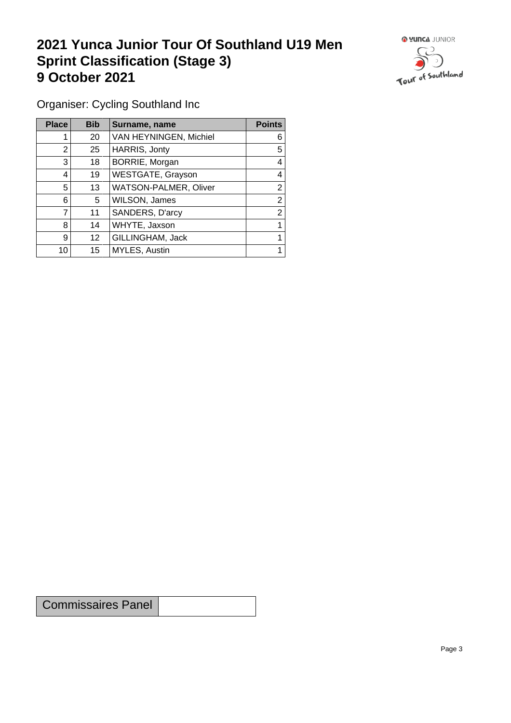## **2021 Yunca Junior Tour Of Southland U19 Men Sprint Classification (Stage 3) 9 October 2021 19 October 2021**



Organiser: Cycling Southland Inc

| <b>Place</b> | <b>Bib</b> | Surname, name          | <b>Points</b> |
|--------------|------------|------------------------|---------------|
|              | 20         | VAN HEYNINGEN, Michiel | 6             |
| 2            | 25         | HARRIS, Jonty          | 5             |
| 3            | 18         | BORRIE, Morgan         | 4             |
| 4            | 19         | WESTGATE, Grayson      | 4             |
| 5            | 13         | WATSON-PALMER, Oliver  | 2             |
| 6            | 5          | WILSON, James          | 2             |
|              | 11         | SANDERS, D'arcy        | 2             |
| 8            | 14         | WHYTE, Jaxson          |               |
| 9            | 12         | GILLINGHAM, Jack       |               |
| 10           | 15         | MYLES, Austin          |               |